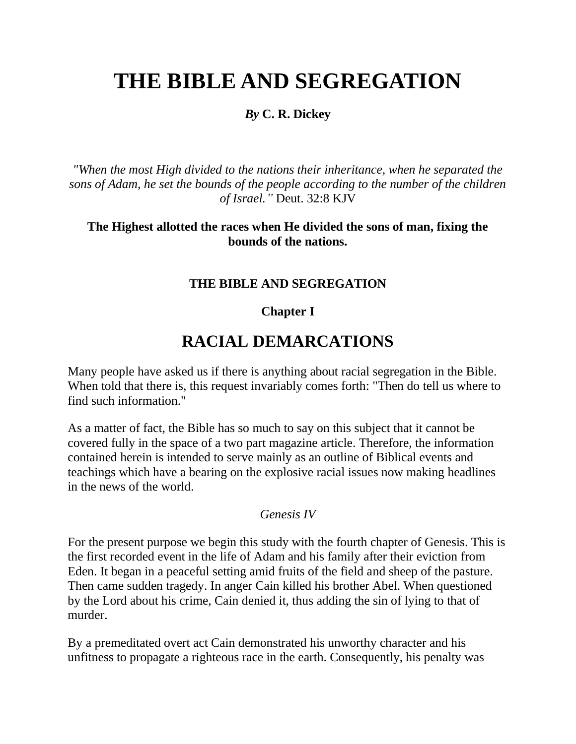# **THE BIBLE AND SEGREGATION**

### *By* **C. R. Dickey**

*"When the most High divided to the nations their inheritance, when he separated the sons of Adam, he set the bounds of the people according to the number of the children of Israel."* Deut. 32:8 KJV

### **The Highest allotted the races when He divided the sons of man, fixing the bounds of the nations.**

### **THE BIBLE AND SEGREGATION**

### **Chapter I**

# **RACIAL DEMARCATIONS**

Many people have asked us if there is anything about racial segregation in the Bible. When told that there is, this request invariably comes forth: "Then do tell us where to find such information."

As a matter of fact, the Bible has so much to say on this subject that it cannot be covered fully in the space of a two part magazine article. Therefore, the information contained herein is intended to serve mainly as an outline of Biblical events and teachings which have a bearing on the explosive racial issues now making headlines in the news of the world.

#### *Genesis IV*

For the present purpose we begin this study with the fourth chapter of Genesis. This is the first recorded event in the life of Adam and his family after their eviction from Eden. It began in a peaceful setting amid fruits of the field and sheep of the pasture. Then came sudden tragedy. In anger Cain killed his brother Abel. When questioned by the Lord about his crime, Cain denied it, thus adding the sin of lying to that of murder.

By a premeditated overt act Cain demonstrated his unworthy character and his unfitness to propagate a righteous race in the earth. Consequently, his penalty was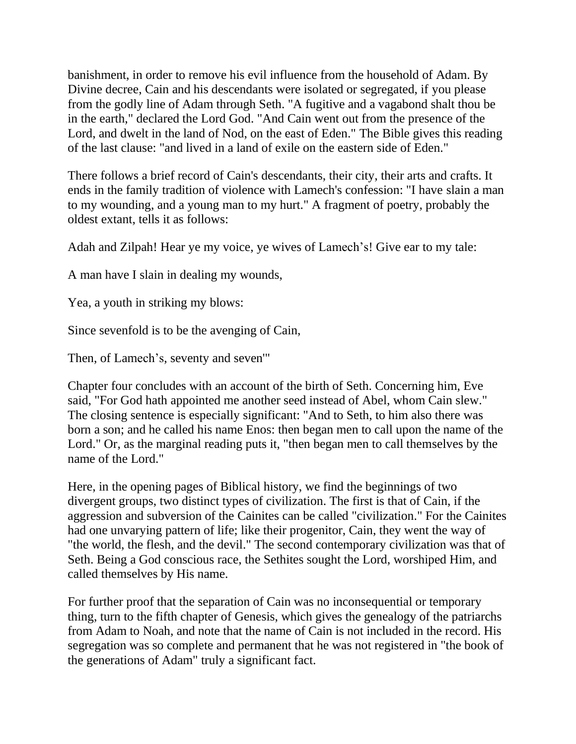banishment, in order to remove his evil influence from the household of Adam. By Divine decree, Cain and his descendants were isolated or segregated, if you please from the godly line of Adam through Seth. "A fugitive and a vagabond shalt thou be in the earth," declared the Lord God. "And Cain went out from the presence of the Lord, and dwelt in the land of Nod, on the east of Eden." The Bible gives this reading of the last clause: "and lived in a land of exile on the eastern side of Eden."

There follows a brief record of Cain's descendants, their city, their arts and crafts. It ends in the family tradition of violence with Lamech's confession: "I have slain a man to my wounding, and a young man to my hurt." A fragment of poetry, probably the oldest extant, tells it as follows:

Adah and Zilpah! Hear ye my voice, ye wives of Lamech's! Give ear to my tale:

A man have I slain in dealing my wounds,

Yea, a youth in striking my blows:

Since sevenfold is to be the avenging of Cain,

Then, of Lamech's, seventy and seven'"

Chapter four concludes with an account of the birth of Seth. Concerning him, Eve said, "For God hath appointed me another seed instead of Abel, whom Cain slew." The closing sentence is especially significant: "And to Seth, to him also there was born a son; and he called his name Enos: then began men to call upon the name of the Lord." Or, as the marginal reading puts it, "then began men to call themselves by the name of the Lord."

Here, in the opening pages of Biblical history, we find the beginnings of two divergent groups, two distinct types of civilization. The first is that of Cain, if the aggression and subversion of the Cainites can be called "civilization." For the Cainites had one unvarying pattern of life; like their progenitor, Cain, they went the way of "the world, the flesh, and the devil." The second contemporary civilization was that of Seth. Being a God conscious race, the Sethites sought the Lord, worshiped Him, and called themselves by His name.

For further proof that the separation of Cain was no inconsequential or temporary thing, turn to the fifth chapter of Genesis, which gives the genealogy of the patriarchs from Adam to Noah, and note that the name of Cain is not included in the record. His segregation was so complete and permanent that he was not registered in "the book of the generations of Adam" truly a significant fact.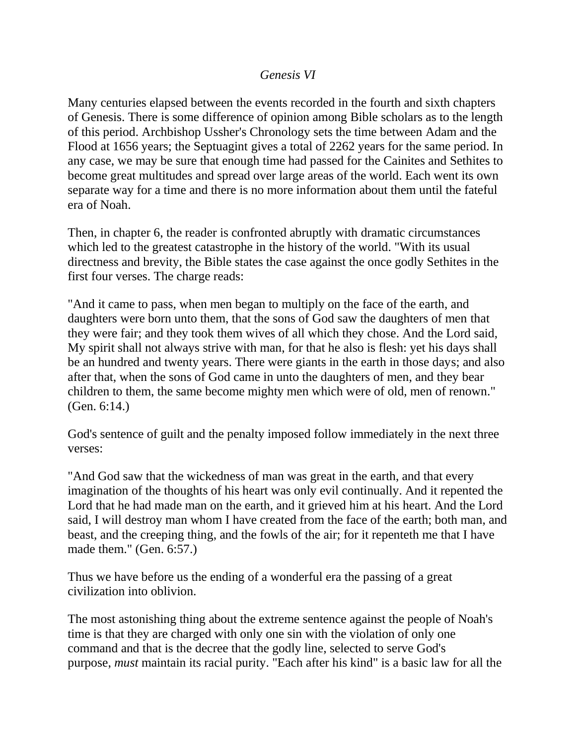### *Genesis VI*

Many centuries elapsed between the events recorded in the fourth and sixth chapters of Genesis. There is some difference of opinion among Bible scholars as to the length of this period. Archbishop Ussher's Chronology sets the time between Adam and the Flood at 1656 years; the Septuagint gives a total of 2262 years for the same period. In any case, we may be sure that enough time had passed for the Cainites and Sethites to become great multitudes and spread over large areas of the world. Each went its own separate way for a time and there is no more information about them until the fateful era of Noah.

Then, in chapter 6, the reader is confronted abruptly with dramatic circumstances which led to the greatest catastrophe in the history of the world. "With its usual directness and brevity, the Bible states the case against the once godly Sethites in the first four verses. The charge reads:

"And it came to pass, when men began to multiply on the face of the earth, and daughters were born unto them, that the sons of God saw the daughters of men that they were fair; and they took them wives of all which they chose. And the Lord said, My spirit shall not always strive with man, for that he also is flesh: yet his days shall be an hundred and twenty years. There were giants in the earth in those days; and also after that, when the sons of God came in unto the daughters of men, and they bear children to them, the same become mighty men which were of old, men of renown." (Gen. 6:14.)

God's sentence of guilt and the penalty imposed follow immediately in the next three verses:

"And God saw that the wickedness of man was great in the earth, and that every imagination of the thoughts of his heart was only evil continually. And it repented the Lord that he had made man on the earth, and it grieved him at his heart. And the Lord said, I will destroy man whom I have created from the face of the earth; both man, and beast, and the creeping thing, and the fowls of the air; for it repenteth me that I have made them." (Gen. 6:57.)

Thus we have before us the ending of a wonderful era the passing of a great civilization into oblivion.

The most astonishing thing about the extreme sentence against the people of Noah's time is that they are charged with only one sin with the violation of only one command and that is the decree that the godly line, selected to serve God's purpose, *must* maintain its racial purity. "Each after his kind" is a basic law for all the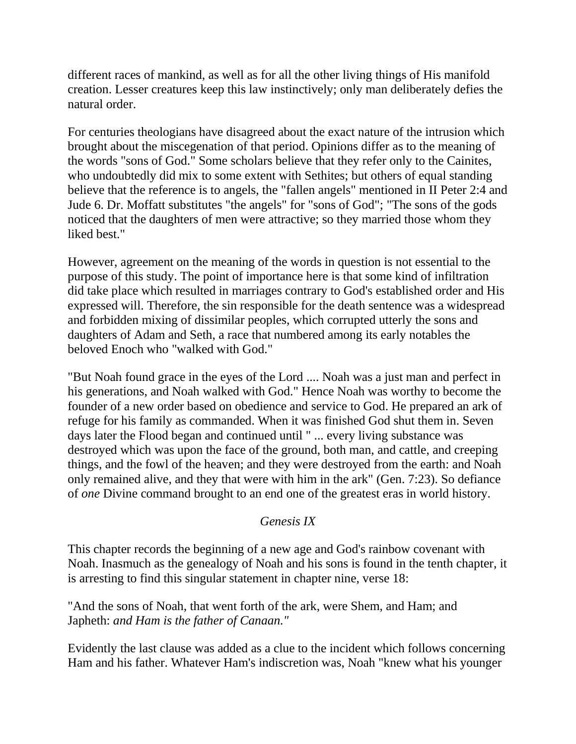different races of mankind, as well as for all the other living things of His manifold creation. Lesser creatures keep this law instinctively; only man deliberately defies the natural order.

For centuries theologians have disagreed about the exact nature of the intrusion which brought about the miscegenation of that period. Opinions differ as to the meaning of the words "sons of God." Some scholars believe that they refer only to the Cainites, who undoubtedly did mix to some extent with Sethites; but others of equal standing believe that the reference is to angels, the "fallen angels" mentioned in II Peter 2:4 and Jude 6. Dr. Moffatt substitutes "the angels" for "sons of God"; "The sons of the gods noticed that the daughters of men were attractive; so they married those whom they liked best."

However, agreement on the meaning of the words in question is not essential to the purpose of this study. The point of importance here is that some kind of infiltration did take place which resulted in marriages contrary to God's established order and His expressed will. Therefore, the sin responsible for the death sentence was a widespread and forbidden mixing of dissimilar peoples, which corrupted utterly the sons and daughters of Adam and Seth, a race that numbered among its early notables the beloved Enoch who "walked with God."

"But Noah found grace in the eyes of the Lord .... Noah was a just man and perfect in his generations, and Noah walked with God." Hence Noah was worthy to become the founder of a new order based on obedience and service to God. He prepared an ark of refuge for his family as commanded. When it was finished God shut them in. Seven days later the Flood began and continued until " ... every living substance was destroyed which was upon the face of the ground, both man, and cattle, and creeping things, and the fowl of the heaven; and they were destroyed from the earth: and Noah only remained alive, and they that were with him in the ark" (Gen. 7:23). So defiance of *one* Divine command brought to an end one of the greatest eras in world history.

# *Genesis IX*

This chapter records the beginning of a new age and God's rainbow covenant with Noah. Inasmuch as the genealogy of Noah and his sons is found in the tenth chapter, it is arresting to find this singular statement in chapter nine, verse 18:

"And the sons of Noah, that went forth of the ark, were Shem, and Ham; and Japheth: *and Ham is the father of Canaan."*

Evidently the last clause was added as a clue to the incident which follows concerning Ham and his father. Whatever Ham's indiscretion was, Noah "knew what his younger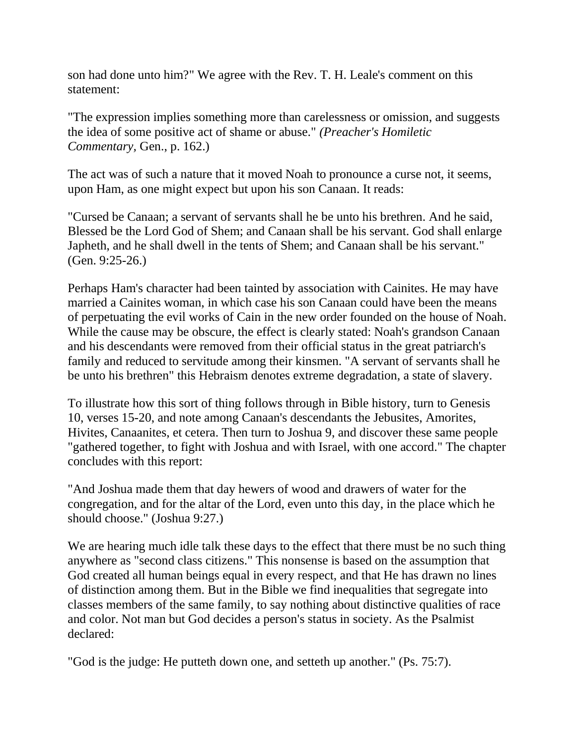son had done unto him?" We agree with the Rev. T. H. Leale's comment on this statement:

"The expression implies something more than carelessness or omission, and suggests the idea of some positive act of shame or abuse." *(Preacher's Homiletic Commentary,* Gen., p. 162.)

The act was of such a nature that it moved Noah to pronounce a curse not, it seems, upon Ham, as one might expect but upon his son Canaan. It reads:

"Cursed be Canaan; a servant of servants shall he be unto his brethren. And he said, Blessed be the Lord God of Shem; and Canaan shall be his servant. God shall enlarge Japheth, and he shall dwell in the tents of Shem; and Canaan shall be his servant." (Gen. 9:25-26.)

Perhaps Ham's character had been tainted by association with Cainites. He may have married a Cainites woman, in which case his son Canaan could have been the means of perpetuating the evil works of Cain in the new order founded on the house of Noah. While the cause may be obscure, the effect is clearly stated: Noah's grandson Canaan and his descendants were removed from their official status in the great patriarch's family and reduced to servitude among their kinsmen. "A servant of servants shall he be unto his brethren" this Hebraism denotes extreme degradation, a state of slavery.

To illustrate how this sort of thing follows through in Bible history, turn to Genesis 10, verses 15-20, and note among Canaan's descendants the Jebusites, Amorites, Hivites, Canaanites, et cetera. Then turn to Joshua 9, and discover these same people "gathered together, to fight with Joshua and with Israel, with one accord." The chapter concludes with this report:

"And Joshua made them that day hewers of wood and drawers of water for the congregation, and for the altar of the Lord, even unto this day, in the place which he should choose." (Joshua 9:27.)

We are hearing much idle talk these days to the effect that there must be no such thing anywhere as "second class citizens." This nonsense is based on the assumption that God created all human beings equal in every respect, and that He has drawn no lines of distinction among them. But in the Bible we find inequalities that segregate into classes members of the same family, to say nothing about distinctive qualities of race and color. Not man but God decides a person's status in society. As the Psalmist declared:

"God is the judge: He putteth down one, and setteth up another." (Ps. 75:7).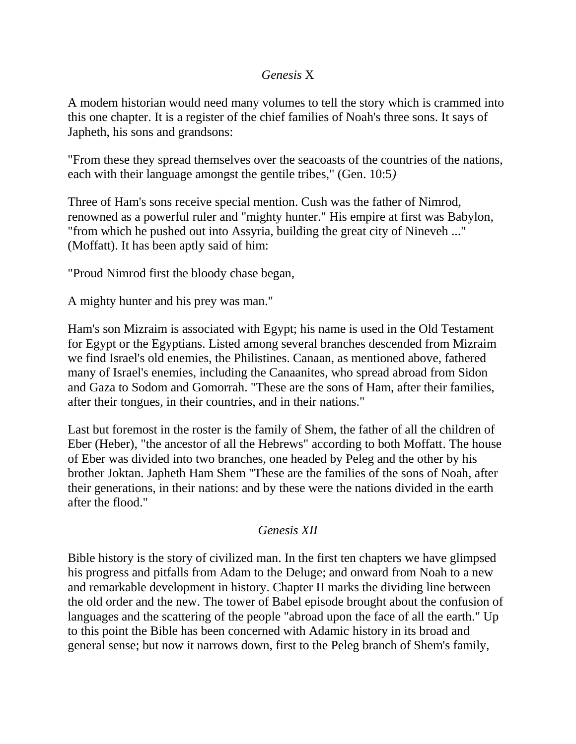### *Genesis* X

A modem historian would need many volumes to tell the story which is crammed into this one chapter. It is a register of the chief families of Noah's three sons. It says of Japheth, his sons and grandsons:

"From these they spread themselves over the seacoasts of the countries of the nations, each with their language amongst the gentile tribes," (Gen. 10:5*)*

Three of Ham's sons receive special mention. Cush was the father of Nimrod, renowned as a powerful ruler and "mighty hunter." His empire at first was Babylon, "from which he pushed out into Assyria, building the great city of Nineveh ..." (Moffatt). It has been aptly said of him:

"Proud Nimrod first the bloody chase began,

A mighty hunter and his prey was man."

Ham's son Mizraim is associated with Egypt; his name is used in the Old Testament for Egypt or the Egyptians. Listed among several branches descended from Mizraim we find Israel's old enemies, the Philistines. Canaan, as mentioned above, fathered many of Israel's enemies, including the Canaanites, who spread abroad from Sidon and Gaza to Sodom and Gomorrah. "These are the sons of Ham, after their families, after their tongues, in their countries, and in their nations."

Last but foremost in the roster is the family of Shem, the father of all the children of Eber (Heber), "the ancestor of all the Hebrews" according to both Moffatt. The house of Eber was divided into two branches, one headed by Peleg and the other by his brother Joktan. Japheth Ham Shem "These are the families of the sons of Noah, after their generations, in their nations: and by these were the nations divided in the earth after the flood."

### *Genesis XII*

Bible history is the story of civilized man. In the first ten chapters we have glimpsed his progress and pitfalls from Adam to the Deluge; and onward from Noah to a new and remarkable development in history. Chapter II marks the dividing line between the old order and the new. The tower of Babel episode brought about the confusion of languages and the scattering of the people "abroad upon the face of all the earth." Up to this point the Bible has been concerned with Adamic history in its broad and general sense; but now it narrows down, first to the Peleg branch of Shem's family,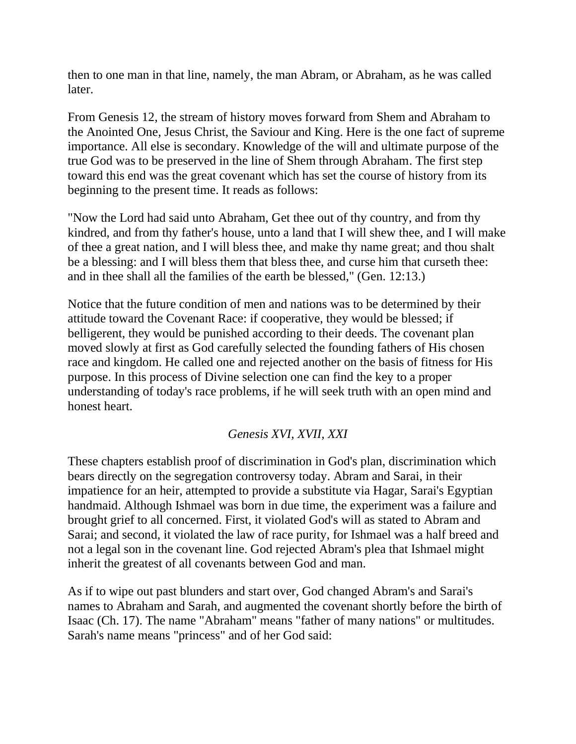then to one man in that line, namely, the man Abram, or Abraham, as he was called later.

From Genesis 12, the stream of history moves forward from Shem and Abraham to the Anointed One, Jesus Christ, the Saviour and King. Here is the one fact of supreme importance. All else is secondary. Knowledge of the will and ultimate purpose of the true God was to be preserved in the line of Shem through Abraham. The first step toward this end was the great covenant which has set the course of history from its beginning to the present time. It reads as follows:

"Now the Lord had said unto Abraham, Get thee out of thy country, and from thy kindred, and from thy father's house, unto a land that I will shew thee, and I will make of thee a great nation, and I will bless thee, and make thy name great; and thou shalt be a blessing: and I will bless them that bless thee, and curse him that curseth thee: and in thee shall all the families of the earth be blessed," (Gen. 12:13.)

Notice that the future condition of men and nations was to be determined by their attitude toward the Covenant Race: if cooperative, they would be blessed; if belligerent, they would be punished according to their deeds. The covenant plan moved slowly at first as God carefully selected the founding fathers of His chosen race and kingdom. He called one and rejected another on the basis of fitness for His purpose. In this process of Divine selection one can find the key to a proper understanding of today's race problems, if he will seek truth with an open mind and honest heart.

# *Genesis XVI, XVII, XXI*

These chapters establish proof of discrimination in God's plan, discrimination which bears directly on the segregation controversy today. Abram and Sarai, in their impatience for an heir, attempted to provide a substitute via Hagar, Sarai's Egyptian handmaid. Although Ishmael was born in due time, the experiment was a failure and brought grief to all concerned. First, it violated God's will as stated to Abram and Sarai; and second, it violated the law of race purity, for Ishmael was a half breed and not a legal son in the covenant line. God rejected Abram's plea that Ishmael might inherit the greatest of all covenants between God and man.

As if to wipe out past blunders and start over, God changed Abram's and Sarai's names to Abraham and Sarah, and augmented the covenant shortly before the birth of Isaac (Ch. 17). The name "Abraham" means "father of many nations" or multitudes. Sarah's name means "princess" and of her God said: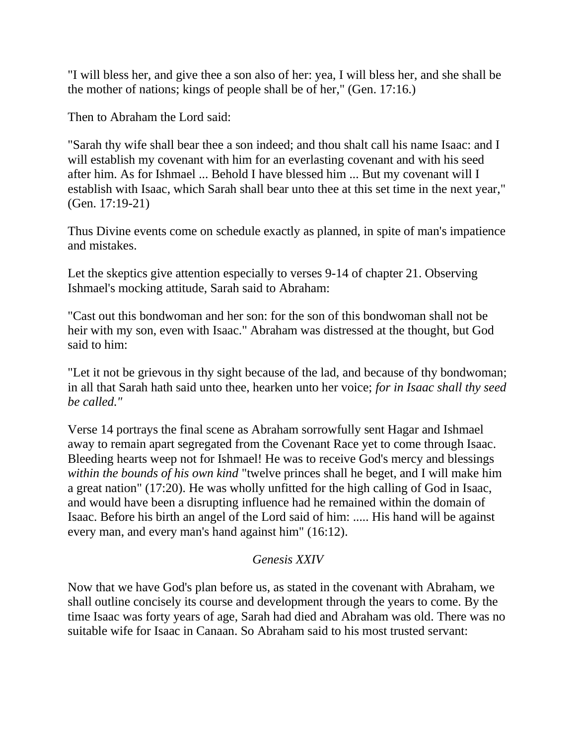"I will bless her, and give thee a son also of her: yea, I will bless her, and she shall be the mother of nations; kings of people shall be of her," (Gen. 17:16.)

Then to Abraham the Lord said:

"Sarah thy wife shall bear thee a son indeed; and thou shalt call his name Isaac: and I will establish my covenant with him for an everlasting covenant and with his seed after him. As for Ishmael ... Behold I have blessed him ... But my covenant will I establish with Isaac, which Sarah shall bear unto thee at this set time in the next year," (Gen. 17:19-21)

Thus Divine events come on schedule exactly as planned, in spite of man's impatience and mistakes.

Let the skeptics give attention especially to verses 9-14 of chapter 21. Observing Ishmael's mocking attitude, Sarah said to Abraham:

"Cast out this bondwoman and her son: for the son of this bondwoman shall not be heir with my son, even with Isaac." Abraham was distressed at the thought, but God said to him:

"Let it not be grievous in thy sight because of the lad, and because of thy bondwoman; in all that Sarah hath said unto thee, hearken unto her voice; *for in Isaac shall thy seed be called."*

Verse 14 portrays the final scene as Abraham sorrowfully sent Hagar and Ishmael away to remain apart segregated from the Covenant Race yet to come through Isaac. Bleeding hearts weep not for Ishmael! He was to receive God's mercy and blessings *within the bounds of his own kind* "twelve princes shall he beget, and I will make him a great nation" (17:20). He was wholly unfitted for the high calling of God in Isaac, and would have been a disrupting influence had he remained within the domain of Isaac. Before his birth an angel of the Lord said of him: ..... His hand will be against every man, and every man's hand against him" (16:12).

# *Genesis XXIV*

Now that we have God's plan before us, as stated in the covenant with Abraham, we shall outline concisely its course and development through the years to come. By the time Isaac was forty years of age, Sarah had died and Abraham was old. There was no suitable wife for Isaac in Canaan. So Abraham said to his most trusted servant: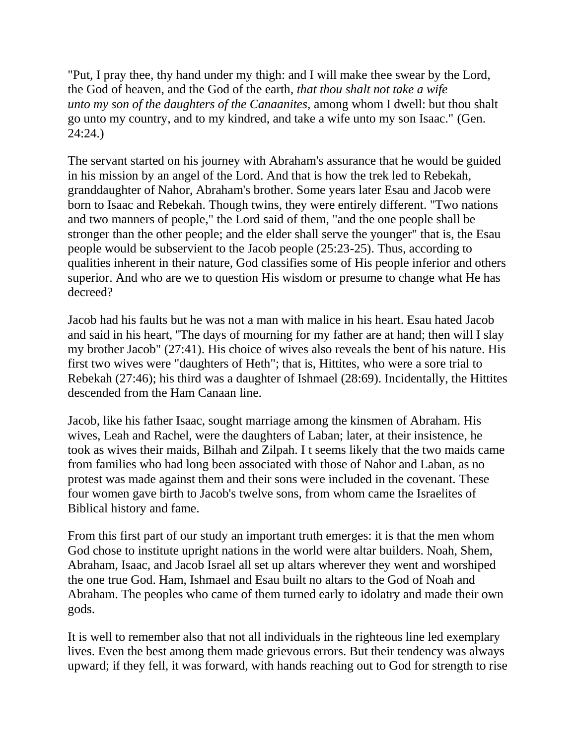"Put, I pray thee, thy hand under my thigh: and I will make thee swear by the Lord, the God of heaven, and the God of the earth, *that thou shalt not take a wife unto my son of the daughters of the Canaanites,* among whom I dwell: but thou shalt go unto my country, and to my kindred, and take a wife unto my son Isaac." (Gen. 24:24.)

The servant started on his journey with Abraham's assurance that he would be guided in his mission by an angel of the Lord. And that is how the trek led to Rebekah, granddaughter of Nahor, Abraham's brother. Some years later Esau and Jacob were born to Isaac and Rebekah. Though twins, they were entirely different. "Two nations and two manners of people," the Lord said of them, "and the one people shall be stronger than the other people; and the elder shall serve the younger" that is, the Esau people would be subservient to the Jacob people (25:23-25). Thus, according to qualities inherent in their nature, God classifies some of His people inferior and others superior. And who are we to question His wisdom or presume to change what He has decreed?

Jacob had his faults but he was not a man with malice in his heart. Esau hated Jacob and said in his heart, ''The days of mourning for my father are at hand; then will I slay my brother Jacob" (27:41). His choice of wives also reveals the bent of his nature. His first two wives were "daughters of Heth"; that is, Hittites, who were a sore trial to Rebekah (27:46); his third was a daughter of Ishmael (28:69). Incidentally, the Hittites descended from the Ham Canaan line.

Jacob, like his father Isaac, sought marriage among the kinsmen of Abraham. His wives, Leah and Rachel, were the daughters of Laban; later, at their insistence, he took as wives their maids, Bilhah and Zilpah. I t seems likely that the two maids came from families who had long been associated with those of Nahor and Laban, as no protest was made against them and their sons were included in the covenant. These four women gave birth to Jacob's twelve sons, from whom came the Israelites of Biblical history and fame.

From this first part of our study an important truth emerges: it is that the men whom God chose to institute upright nations in the world were altar builders. Noah, Shem, Abraham, Isaac, and Jacob Israel all set up altars wherever they went and worshiped the one true God. Ham, Ishmael and Esau built no altars to the God of Noah and Abraham. The peoples who came of them turned early to idolatry and made their own gods.

It is well to remember also that not all individuals in the righteous line led exemplary lives. Even the best among them made grievous errors. But their tendency was always upward; if they fell, it was forward, with hands reaching out to God for strength to rise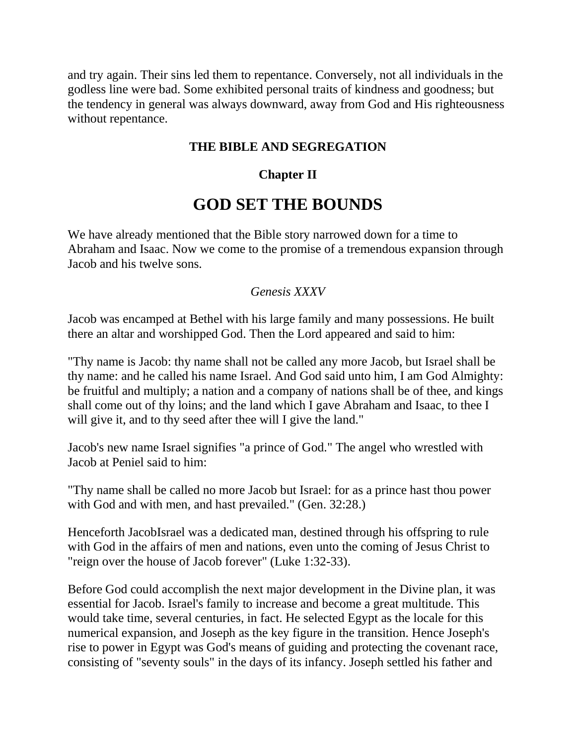and try again. Their sins led them to repentance. Conversely, not all individuals in the godless line were bad. Some exhibited personal traits of kindness and goodness; but the tendency in general was always downward, away from God and His righteousness without repentance.

# **THE BIBLE AND SEGREGATION**

# **Chapter II**

# **GOD SET THE BOUNDS**

We have already mentioned that the Bible story narrowed down for a time to Abraham and Isaac. Now we come to the promise of a tremendous expansion through Jacob and his twelve sons.

# *Genesis XXXV*

Jacob was encamped at Bethel with his large family and many possessions. He built there an altar and worshipped God. Then the Lord appeared and said to him:

"Thy name is Jacob: thy name shall not be called any more Jacob, but Israel shall be thy name: and he called his name Israel. And God said unto him, I am God Almighty: be fruitful and multiply; a nation and a company of nations shall be of thee, and kings shall come out of thy loins; and the land which I gave Abraham and Isaac, to thee I will give it, and to thy seed after thee will I give the land."

Jacob's new name Israel signifies "a prince of God." The angel who wrestled with Jacob at Peniel said to him:

"Thy name shall be called no more Jacob but Israel: for as a prince hast thou power with God and with men, and hast prevailed." (Gen. 32:28.)

Henceforth JacobIsrael was a dedicated man, destined through his offspring to rule with God in the affairs of men and nations, even unto the coming of Jesus Christ to "reign over the house of Jacob forever" (Luke 1:32-33).

Before God could accomplish the next major development in the Divine plan, it was essential for Jacob. Israel's family to increase and become a great multitude. This would take time, several centuries, in fact. He selected Egypt as the locale for this numerical expansion, and Joseph as the key figure in the transition. Hence Joseph's rise to power in Egypt was God's means of guiding and protecting the covenant race, consisting of "seventy souls" in the days of its infancy. Joseph settled his father and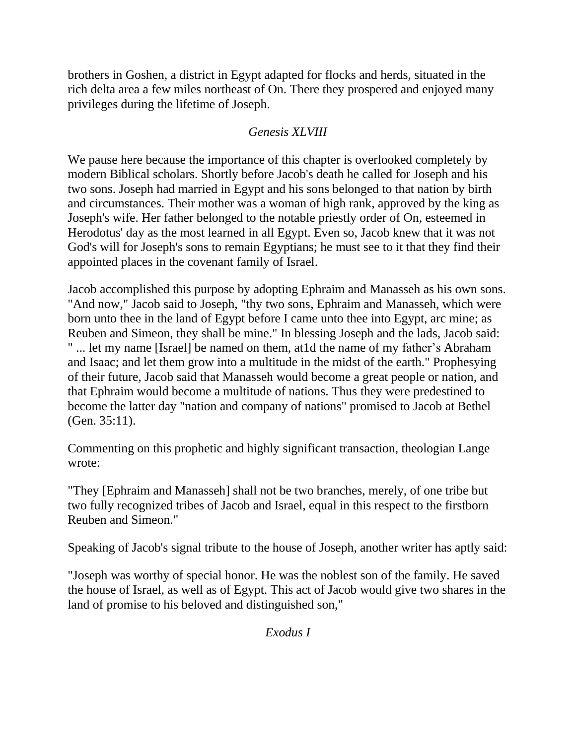brothers in Goshen, a district in Egypt adapted for flocks and herds, situated in the rich delta area a few miles northeast of On. There they prospered and enjoyed many privileges during the lifetime of Joseph.

# *Genesis XLVIII*

We pause here because the importance of this chapter is overlooked completely by modern Biblical scholars. Shortly before Jacob's death he called for Joseph and his two sons. Joseph had married in Egypt and his sons belonged to that nation by birth and circumstances. Their mother was a woman of high rank, approved by the king as Joseph's wife. Her father belonged to the notable priestly order of On, esteemed in Herodotus' day as the most learned in all Egypt. Even so, Jacob knew that it was not God's will for Joseph's sons to remain Egyptians; he must see to it that they find their appointed places in the covenant family of Israel.

Jacob accomplished this purpose by adopting Ephraim and Manasseh as his own sons. "And now," Jacob said to Joseph, "thy two sons, Ephraim and Manasseh, which were born unto thee in the land of Egypt before I came unto thee into Egypt, arc mine; as Reuben and Simeon, they shall be mine." In blessing Joseph and the lads, Jacob said: " ... let my name [Israel] be named on them, at1d the name of my father's Abraham and Isaac; and let them grow into a multitude in the midst of the earth." Prophesying of their future, Jacob said that Manasseh would become a great people or nation, and that Ephraim would become a multitude of nations. Thus they were predestined to become the latter day "nation and company of nations" promised to Jacob at Bethel (Gen. 35:11).

Commenting on this prophetic and highly significant transaction, theologian Lange wrote:

"They [Ephraim and Manasseh] shall not be two branches, merely, of one tribe but two fully recognized tribes of Jacob and Israel, equal in this respect to the firstborn Reuben and Simeon."

Speaking of Jacob's signal tribute to the house of Joseph, another writer has aptly said:

"Joseph was worthy of special honor. He was the noblest son of the family. He saved the house of Israel, as well as of Egypt. This act of Jacob would give two shares in the land of promise to his beloved and distinguished son,"

*Exodus I*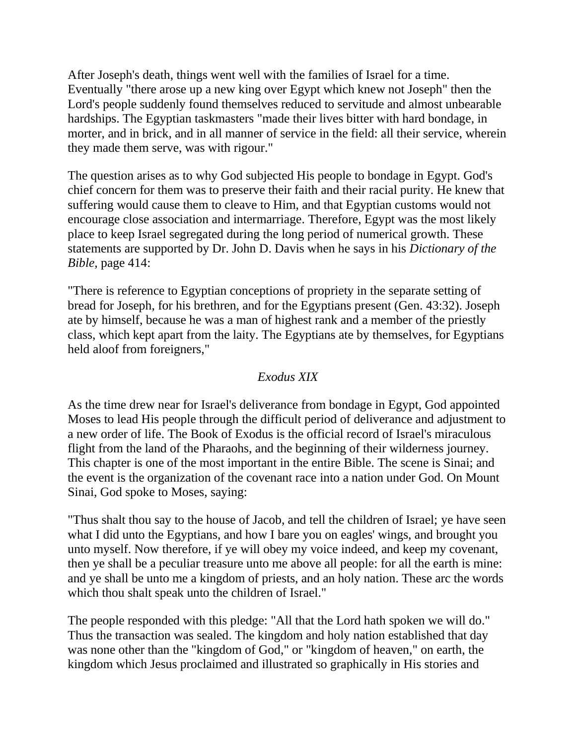After Joseph's death, things went well with the families of Israel for a time. Eventually "there arose up a new king over Egypt which knew not Joseph" then the Lord's people suddenly found themselves reduced to servitude and almost unbearable hardships. The Egyptian taskmasters "made their lives bitter with hard bondage, in morter, and in brick, and in all manner of service in the field: all their service, wherein they made them serve, was with rigour."

The question arises as to why God subjected His people to bondage in Egypt. God's chief concern for them was to preserve their faith and their racial purity. He knew that suffering would cause them to cleave to Him, and that Egyptian customs would not encourage close association and intermarriage. Therefore, Egypt was the most likely place to keep Israel segregated during the long period of numerical growth. These statements are supported by Dr. John D. Davis when he says in his *Dictionary of the Bible,* page 414:

"There is reference to Egyptian conceptions of propriety in the separate setting of bread for Joseph, for his brethren, and for the Egyptians present (Gen. 43:32). Joseph ate by himself, because he was a man of highest rank and a member of the priestly class, which kept apart from the laity. The Egyptians ate by themselves, for Egyptians held aloof from foreigners,"

# *Exodus XIX*

As the time drew near for Israel's deliverance from bondage in Egypt, God appointed Moses to lead His people through the difficult period of deliverance and adjustment to a new order of life. The Book of Exodus is the official record of Israel's miraculous flight from the land of the Pharaohs, and the beginning of their wilderness journey. This chapter is one of the most important in the entire Bible. The scene is Sinai; and the event is the organization of the covenant race into a nation under God. On Mount Sinai, God spoke to Moses, saying:

"Thus shalt thou say to the house of Jacob, and tell the children of Israel; ye have seen what I did unto the Egyptians, and how I bare you on eagles' wings, and brought you unto myself. Now therefore, if ye will obey my voice indeed, and keep my covenant, then ye shall be a peculiar treasure unto me above all people: for all the earth is mine: and ye shall be unto me a kingdom of priests, and an holy nation. These arc the words which thou shalt speak unto the children of Israel."

The people responded with this pledge: "All that the Lord hath spoken we will do." Thus the transaction was sealed. The kingdom and holy nation established that day was none other than the "kingdom of God," or "kingdom of heaven," on earth, the kingdom which Jesus proclaimed and illustrated so graphically in His stories and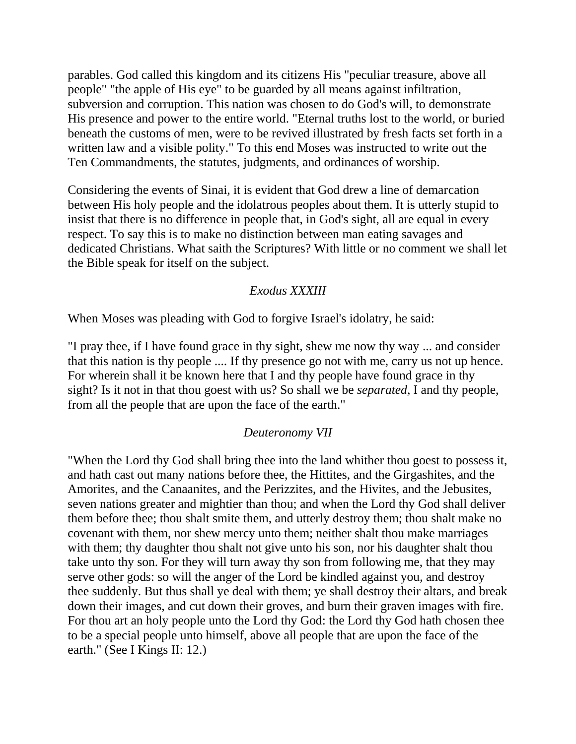parables. God called this kingdom and its citizens His "peculiar treasure, above all people" "the apple of His eye" to be guarded by all means against infiltration, subversion and corruption. This nation was chosen to do God's will, to demonstrate His presence and power to the entire world. "Eternal truths lost to the world, or buried beneath the customs of men, were to be revived illustrated by fresh facts set forth in a written law and a visible polity." To this end Moses was instructed to write out the Ten Commandments, the statutes, judgments, and ordinances of worship.

Considering the events of Sinai, it is evident that God drew a line of demarcation between His holy people and the idolatrous peoples about them. It is utterly stupid to insist that there is no difference in people that, in God's sight, all are equal in every respect. To say this is to make no distinction between man eating savages and dedicated Christians. What saith the Scriptures? With little or no comment we shall let the Bible speak for itself on the subject.

### *Exodus XXXIII*

When Moses was pleading with God to forgive Israel's idolatry, he said:

"I pray thee, if I have found grace in thy sight, shew me now thy way ... and consider that this nation is thy people .... If thy presence go not with me, carry us not up hence. For wherein shall it be known here that I and thy people have found grace in thy sight? Is it not in that thou goest with us? So shall we be *separated,* I and thy people, from all the people that are upon the face of the earth."

### *Deuteronomy VII*

"When the Lord thy God shall bring thee into the land whither thou goest to possess it, and hath cast out many nations before thee, the Hittites, and the Girgashites, and the Amorites, and the Canaanites, and the Perizzites, and the Hivites, and the Jebusites, seven nations greater and mightier than thou; and when the Lord thy God shall deliver them before thee; thou shalt smite them, and utterly destroy them; thou shalt make no covenant with them, nor shew mercy unto them; neither shalt thou make marriages with them; thy daughter thou shalt not give unto his son, nor his daughter shalt thou take unto thy son. For they will turn away thy son from following me, that they may serve other gods: so will the anger of the Lord be kindled against you, and destroy thee suddenly. But thus shall ye deal with them; ye shall destroy their altars, and break down their images, and cut down their groves, and burn their graven images with fire. For thou art an holy people unto the Lord thy God: the Lord thy God hath chosen thee to be a special people unto himself, above all people that are upon the face of the earth." (See I Kings II: 12.)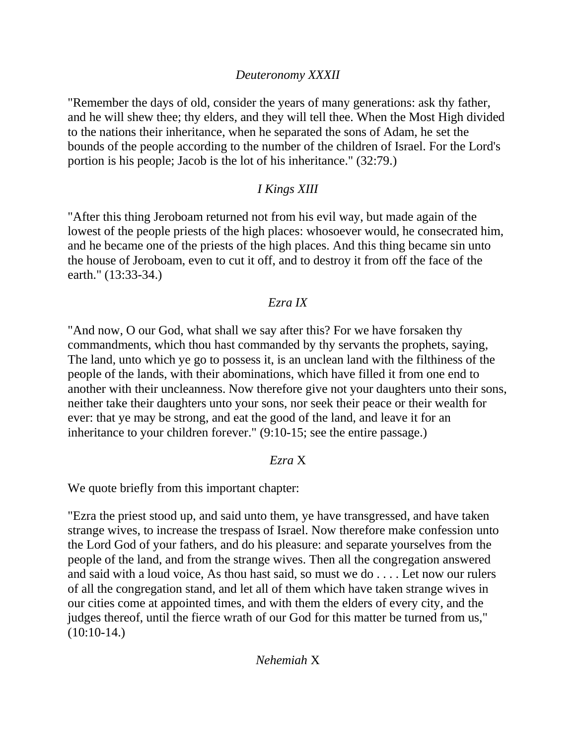# *Deuteronomy XXXII*

"Remember the days of old, consider the years of many generations: ask thy father, and he will shew thee; thy elders, and they will tell thee. When the Most High divided to the nations their inheritance, when he separated the sons of Adam, he set the bounds of the people according to the number of the children of Israel. For the Lord's portion is his people; Jacob is the lot of his inheritance." (32:79.)

# *I Kings XIII*

"After this thing Jeroboam returned not from his evil way, but made again of the lowest of the people priests of the high places: whosoever would, he consecrated him, and he became one of the priests of the high places. And this thing became sin unto the house of Jeroboam, even to cut it off, and to destroy it from off the face of the earth." (13:33-34.)

# *Ezra IX*

"And now, O our God, what shall we say after this? For we have forsaken thy commandments, which thou hast commanded by thy servants the prophets, saying, The land, unto which ye go to possess it, is an unclean land with the filthiness of the people of the lands, with their abominations, which have filled it from one end to another with their uncleanness. Now therefore give not your daughters unto their sons, neither take their daughters unto your sons, nor seek their peace or their wealth for ever: that ye may be strong, and eat the good of the land, and leave it for an inheritance to your children forever." (9:10-15; see the entire passage.)

### *Ezra* X

We quote briefly from this important chapter:

"Ezra the priest stood up, and said unto them, ye have transgressed, and have taken strange wives, to increase the trespass of Israel. Now therefore make confession unto the Lord God of your fathers, and do his pleasure: and separate yourselves from the people of the land, and from the strange wives. Then all the congregation answered and said with a loud voice, As thou hast said, so must we do . . . . Let now our rulers of all the congregation stand, and let all of them which have taken strange wives in our cities come at appointed times, and with them the elders of every city, and the judges thereof, until the fierce wrath of our God for this matter be turned from us,"  $(10:10-14.)$ 

# *Nehemiah* X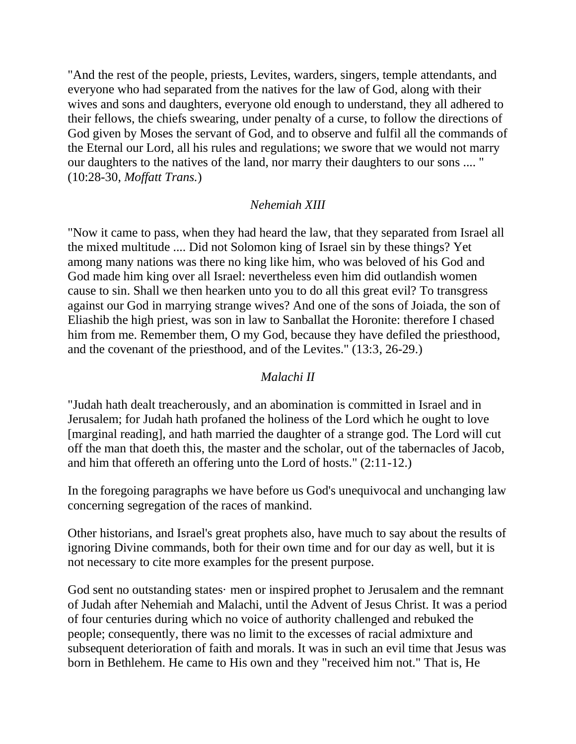"And the rest of the people, priests, Levites, warders, singers, temple attendants, and everyone who had separated from the natives for the law of God, along with their wives and sons and daughters, everyone old enough to understand, they all adhered to their fellows, the chiefs swearing, under penalty of a curse, to follow the directions of God given by Moses the servant of God, and to observe and fulfil all the commands of the Eternal our Lord, all his rules and regulations; we swore that we would not marry our daughters to the natives of the land, nor marry their daughters to our sons .... " (10:28-30, *Moffatt Trans.*)

### *Nehemiah XIII*

"Now it came to pass, when they had heard the law, that they separated from Israel all the mixed multitude .... Did not Solomon king of Israel sin by these things? Yet among many nations was there no king like him, who was beloved of his God and God made him king over all Israel: nevertheless even him did outlandish women cause to sin. Shall we then hearken unto you to do all this great evil? To transgress against our God in marrying strange wives? And one of the sons of Joiada, the son of Eliashib the high priest, was son in law to Sanballat the Horonite: therefore I chased him from me. Remember them, O my God, because they have defiled the priesthood, and the covenant of the priesthood, and of the Levites." (13:3, 26-29.)

# *Malachi II*

"Judah hath dealt treacherously, and an abomination is committed in Israel and in Jerusalem; for Judah hath profaned the holiness of the Lord which he ought to love [marginal reading], and hath married the daughter of a strange god. The Lord will cut off the man that doeth this, the master and the scholar, out of the tabernacles of Jacob, and him that offereth an offering unto the Lord of hosts." (2:11-12.)

In the foregoing paragraphs we have before us God's unequivocal and unchanging law concerning segregation of the races of mankind.

Other historians, and Israel's great prophets also, have much to say about the results of ignoring Divine commands, both for their own time and for our day as well, but it is not necessary to cite more examples for the present purpose.

God sent no outstanding states· men or inspired prophet to Jerusalem and the remnant of Judah after Nehemiah and Malachi, until the Advent of Jesus Christ. It was a period of four centuries during which no voice of authority challenged and rebuked the people; consequently, there was no limit to the excesses of racial admixture and subsequent deterioration of faith and morals. It was in such an evil time that Jesus was born in Bethlehem. He came to His own and they "received him not." That is, He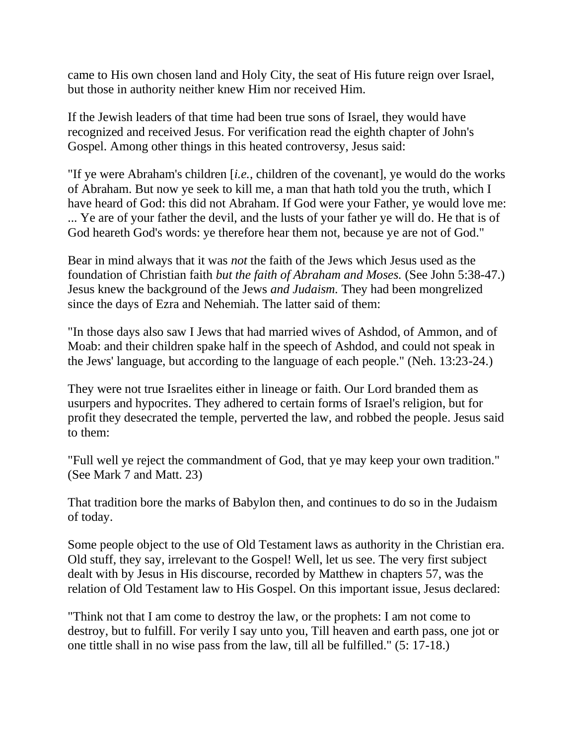came to His own chosen land and Holy City, the seat of His future reign over Israel, but those in authority neither knew Him nor received Him.

If the Jewish leaders of that time had been true sons of Israel, they would have recognized and received Jesus. For verification read the eighth chapter of John's Gospel. Among other things in this heated controversy, Jesus said:

"If ye were Abraham's children [*i.e.,* children of the covenant], ye would do the works of Abraham. But now ye seek to kill me, a man that hath told you the truth, which I have heard of God: this did not Abraham. If God were your Father, ye would love me: ... Ye are of your father the devil, and the lusts of your father ye will do. He that is of God heareth God's words: ye therefore hear them not, because ye are not of God."

Bear in mind always that it was *not* the faith of the Jews which Jesus used as the foundation of Christian faith *but the faith of Abraham and Moses.* (See John 5:38-47.) Jesus knew the background of the Jews *and Judaism.* They had been mongrelized since the days of Ezra and Nehemiah. The latter said of them:

"In those days also saw I Jews that had married wives of Ashdod, of Ammon, and of Moab: and their children spake half in the speech of Ashdod, and could not speak in the Jews' language, but according to the language of each people." (Neh. 13:23-24.)

They were not true Israelites either in lineage or faith. Our Lord branded them as usurpers and hypocrites. They adhered to certain forms of Israel's religion, but for profit they desecrated the temple, perverted the law, and robbed the people. Jesus said to them:

"Full well ye reject the commandment of God, that ye may keep your own tradition." (See Mark 7 and Matt. 23)

That tradition bore the marks of Babylon then, and continues to do so in the Judaism of today.

Some people object to the use of Old Testament laws as authority in the Christian era. Old stuff, they say, irrelevant to the Gospel! Well, let us see. The very first subject dealt with by Jesus in His discourse, recorded by Matthew in chapters 57, was the relation of Old Testament law to His Gospel. On this important issue, Jesus declared:

"Think not that I am come to destroy the law, or the prophets: I am not come to destroy, but to fulfill. For verily I say unto you, Till heaven and earth pass, one jot or one tittle shall in no wise pass from the law, till all be fulfilled." (5: 17-18.)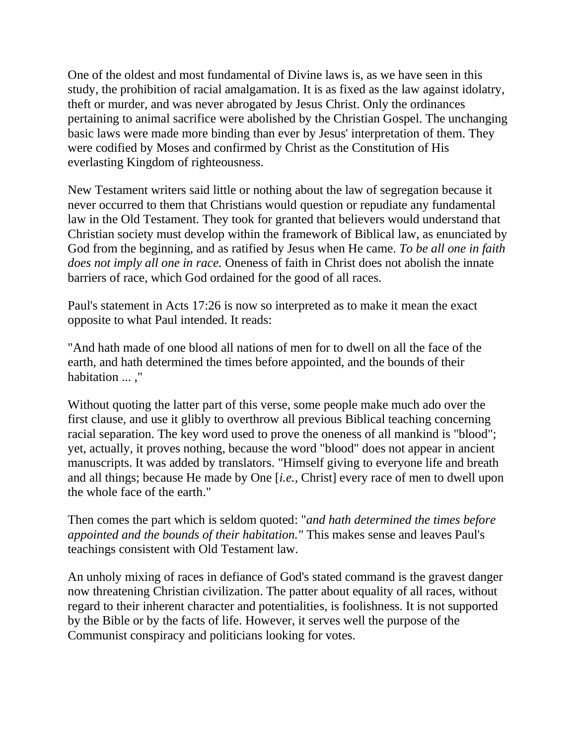One of the oldest and most fundamental of Divine laws is, as we have seen in this study, the prohibition of racial amalgamation. It is as fixed as the law against idolatry, theft or murder, and was never abrogated by Jesus Christ. Only the ordinances pertaining to animal sacrifice were abolished by the Christian Gospel. The unchanging basic laws were made more binding than ever by Jesus' interpretation of them. They were codified by Moses and confirmed by Christ as the Constitution of His everlasting Kingdom of righteousness.

New Testament writers said little or nothing about the law of segregation because it never occurred to them that Christians would question or repudiate any fundamental law in the Old Testament. They took for granted that believers would understand that Christian society must develop within the framework of Biblical law, as enunciated by God from the beginning, and as ratified by Jesus when He came. *To be all one in faith does not imply all one in race.* Oneness of faith in Christ does not abolish the innate barriers of race, which God ordained for the good of all races.

Paul's statement in Acts 17:26 is now so interpreted as to make it mean the exact opposite to what Paul intended. It reads:

"And hath made of one blood all nations of men for to dwell on all the face of the earth, and hath determined the times before appointed, and the bounds of their habitation ... ,"

Without quoting the latter part of this verse, some people make much ado over the first clause, and use it glibly to overthrow all previous Biblical teaching concerning racial separation. The key word used to prove the oneness of all mankind is "blood"; yet, actually, it proves nothing, because the word "blood" does not appear in ancient manuscripts. It was added by translators. "Himself giving to everyone life and breath and all things; because He made by One [*i.e.,* Christ] every race of men to dwell upon the whole face of the earth."

Then comes the part which is seldom quoted: "*and hath determined the times before appointed and the bounds of their habitation."* This makes sense and leaves Paul's teachings consistent with Old Testament law.

An unholy mixing of races in defiance of God's stated command is the gravest danger now threatening Christian civilization. The patter about equality of all races, without regard to their inherent character and potentialities, is foolishness. It is not supported by the Bible or by the facts of life. However, it serves well the purpose of the Communist conspiracy and politicians looking for votes.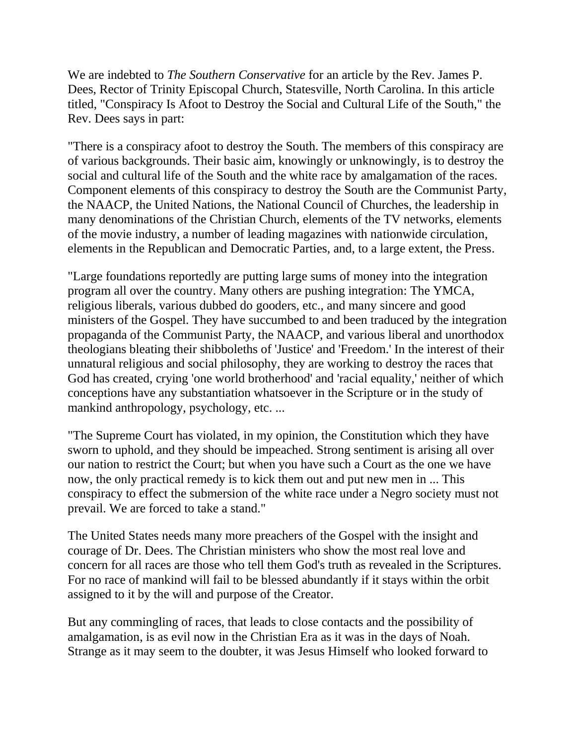We are indebted to *The Southern Conservative* for an article by the Rev. James P. Dees, Rector of Trinity Episcopal Church, Statesville, North Carolina. In this article titled, "Conspiracy Is Afoot to Destroy the Social and Cultural Life of the South," the Rev. Dees says in part:

"There is a conspiracy afoot to destroy the South. The members of this conspiracy are of various backgrounds. Their basic aim, knowingly or unknowingly, is to destroy the social and cultural life of the South and the white race by amalgamation of the races. Component elements of this conspiracy to destroy the South are the Communist Party, the NAACP, the United Nations, the National Council of Churches, the leadership in many denominations of the Christian Church, elements of the TV networks, elements of the movie industry, a number of leading magazines with nationwide circulation, elements in the Republican and Democratic Parties, and, to a large extent, the Press.

"Large foundations reportedly are putting large sums of money into the integration program all over the country. Many others are pushing integration: The YMCA, religious liberals, various dubbed do gooders, etc., and many sincere and good ministers of the Gospel. They have succumbed to and been traduced by the integration propaganda of the Communist Party, the NAACP, and various liberal and unorthodox theologians bleating their shibboleths of 'Justice' and 'Freedom.' In the interest of their unnatural religious and social philosophy, they are working to destroy the races that God has created, crying 'one world brotherhood' and 'racial equality,' neither of which conceptions have any substantiation whatsoever in the Scripture or in the study of mankind anthropology, psychology, etc. ...

"The Supreme Court has violated, in my opinion, the Constitution which they have sworn to uphold, and they should be impeached. Strong sentiment is arising all over our nation to restrict the Court; but when you have such a Court as the one we have now, the only practical remedy is to kick them out and put new men in ... This conspiracy to effect the submersion of the white race under a Negro society must not prevail. We are forced to take a stand."

The United States needs many more preachers of the Gospel with the insight and courage of Dr. Dees. The Christian ministers who show the most real love and concern for all races are those who tell them God's truth as revealed in the Scriptures. For no race of mankind will fail to be blessed abundantly if it stays within the orbit assigned to it by the will and purpose of the Creator.

But any commingling of races, that leads to close contacts and the possibility of amalgamation, is as evil now in the Christian Era as it was in the days of Noah. Strange as it may seem to the doubter, it was Jesus Himself who looked forward to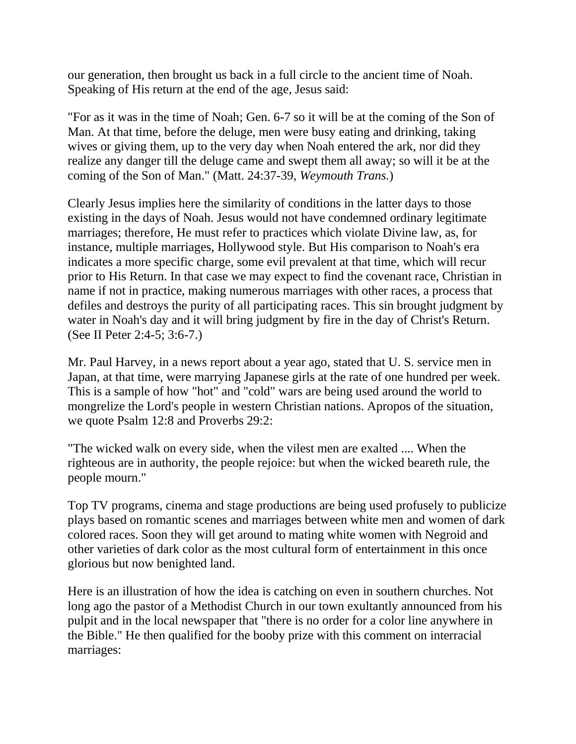our generation, then brought us back in a full circle to the ancient time of Noah. Speaking of His return at the end of the age, Jesus said:

"For as it was in the time of Noah; Gen. 6-7 so it will be at the coming of the Son of Man. At that time, before the deluge, men were busy eating and drinking, taking wives or giving them, up to the very day when Noah entered the ark, nor did they realize any danger till the deluge came and swept them all away; so will it be at the coming of the Son of Man." (Matt. 24:37-39, *Weymouth Trans.*)

Clearly Jesus implies here the similarity of conditions in the latter days to those existing in the days of Noah. Jesus would not have condemned ordinary legitimate marriages; therefore, He must refer to practices which violate Divine law, as, for instance, multiple marriages, Hollywood style. But His comparison to Noah's era indicates a more specific charge, some evil prevalent at that time, which will recur prior to His Return. In that case we may expect to find the covenant race, Christian in name if not in practice, making numerous marriages with other races, a process that defiles and destroys the purity of all participating races. This sin brought judgment by water in Noah's day and it will bring judgment by fire in the day of Christ's Return. (See II Peter 2:4-5; 3:6-7.)

Mr. Paul Harvey, in a news report about a year ago, stated that U. S. service men in Japan, at that time, were marrying Japanese girls at the rate of one hundred per week. This is a sample of how "hot" and "cold" wars are being used around the world to mongrelize the Lord's people in western Christian nations. Apropos of the situation, we quote Psalm 12:8 and Proverbs 29:2:

"The wicked walk on every side, when the vilest men are exalted .... When the righteous are in authority, the people rejoice: but when the wicked beareth rule, the people mourn."

Top TV programs, cinema and stage productions are being used profusely to publicize plays based on romantic scenes and marriages between white men and women of dark colored races. Soon they will get around to mating white women with Negroid and other varieties of dark color as the most cultural form of entertainment in this once glorious but now benighted land.

Here is an illustration of how the idea is catching on even in southern churches. Not long ago the pastor of a Methodist Church in our town exultantly announced from his pulpit and in the local newspaper that "there is no order for a color line anywhere in the Bible." He then qualified for the booby prize with this comment on interracial marriages: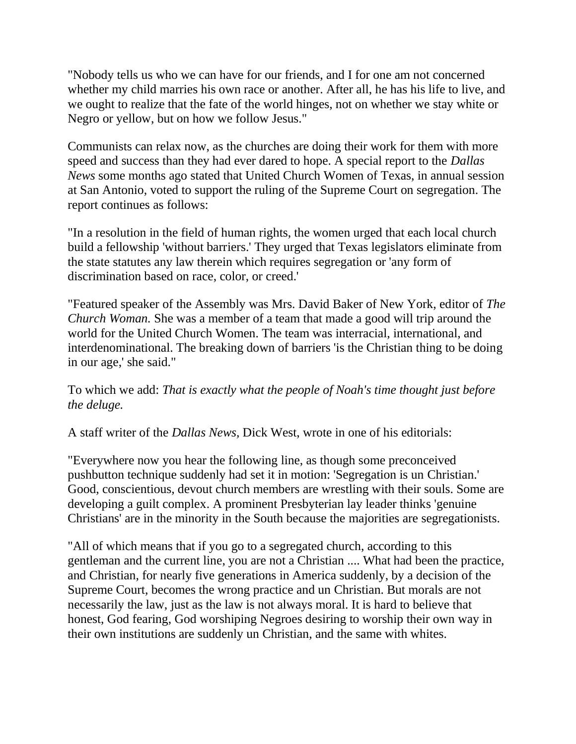"Nobody tells us who we can have for our friends, and I for one am not concerned whether my child marries his own race or another. After all, he has his life to live, and we ought to realize that the fate of the world hinges, not on whether we stay white or Negro or yellow, but on how we follow Jesus."

Communists can relax now, as the churches are doing their work for them with more speed and success than they had ever dared to hope. A special report to the *Dallas News* some months ago stated that United Church Women of Texas, in annual session at San Antonio, voted to support the ruling of the Supreme Court on segregation. The report continues as follows:

"In a resolution in the field of human rights, the women urged that each local church build a fellowship 'without barriers.' They urged that Texas legislators eliminate from the state statutes any law therein which requires segregation or 'any form of discrimination based on race, color, or creed.'

"Featured speaker of the Assembly was Mrs. David Baker of New York, editor of *The Church Woman.* She was a member of a team that made a good will trip around the world for the United Church Women. The team was interracial, international, and interdenominational. The breaking down of barriers 'is the Christian thing to be doing in our age,' she said."

To which we add: *That is exactly what the people of Noah's time thought just before the deluge.*

A staff writer of the *Dallas News,* Dick West, wrote in one of his editorials:

"Everywhere now you hear the following line, as though some preconceived pushbutton technique suddenly had set it in motion: 'Segregation is un Christian.' Good, conscientious, devout church members are wrestling with their souls. Some are developing a guilt complex. A prominent Presbyterian lay leader thinks 'genuine Christians' are in the minority in the South because the majorities are segregationists.

"All of which means that if you go to a segregated church, according to this gentleman and the current line, you are not a Christian .... What had been the practice, and Christian, for nearly five generations in America suddenly, by a decision of the Supreme Court, becomes the wrong practice and un Christian. But morals are not necessarily the law, just as the law is not always moral. It is hard to believe that honest, God fearing, God worshiping Negroes desiring to worship their own way in their own institutions are suddenly un Christian, and the same with whites.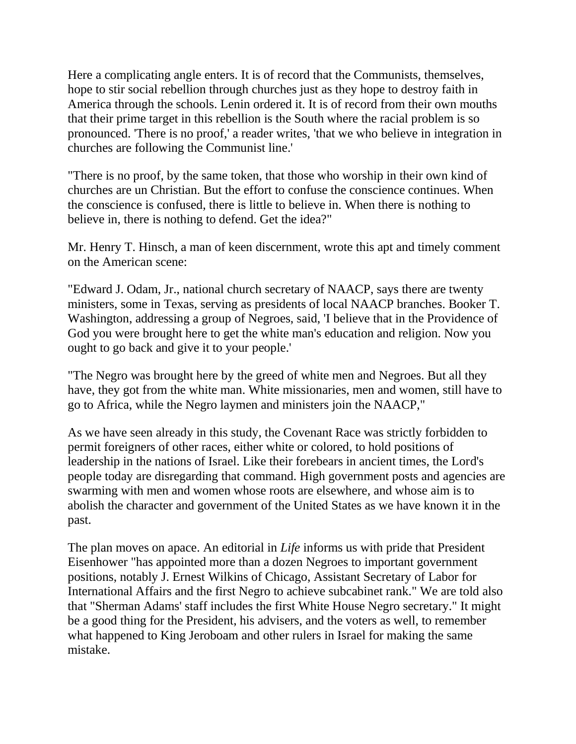Here a complicating angle enters. It is of record that the Communists, themselves, hope to stir social rebellion through churches just as they hope to destroy faith in America through the schools. Lenin ordered it. It is of record from their own mouths that their prime target in this rebellion is the South where the racial problem is so pronounced. 'There is no proof,' a reader writes, 'that we who believe in integration in churches are following the Communist line.'

"There is no proof, by the same token, that those who worship in their own kind of churches are un Christian. But the effort to confuse the conscience continues. When the conscience is confused, there is little to believe in. When there is nothing to believe in, there is nothing to defend. Get the idea?"

Mr. Henry T. Hinsch, a man of keen discernment, wrote this apt and timely comment on the American scene:

"Edward J. Odam, Jr., national church secretary of NAACP, says there are twenty ministers, some in Texas, serving as presidents of local NAACP branches. Booker T. Washington, addressing a group of Negroes, said, 'I believe that in the Providence of God you were brought here to get the white man's education and religion. Now you ought to go back and give it to your people.'

"The Negro was brought here by the greed of white men and Negroes. But all they have, they got from the white man. White missionaries, men and women, still have to go to Africa, while the Negro laymen and ministers join the NAACP,"

As we have seen already in this study, the Covenant Race was strictly forbidden to permit foreigners of other races, either white or colored, to hold positions of leadership in the nations of Israel. Like their forebears in ancient times, the Lord's people today are disregarding that command. High government posts and agencies are swarming with men and women whose roots are elsewhere, and whose aim is to abolish the character and government of the United States as we have known it in the past.

The plan moves on apace. An editorial in *Life* informs us with pride that President Eisenhower "has appointed more than a dozen Negroes to important government positions, notably J. Ernest Wilkins of Chicago, Assistant Secretary of Labor for International Affairs and the first Negro to achieve subcabinet rank." We are told also that "Sherman Adams' staff includes the first White House Negro secretary." It might be a good thing for the President, his advisers, and the voters as well, to remember what happened to King Jeroboam and other rulers in Israel for making the same mistake.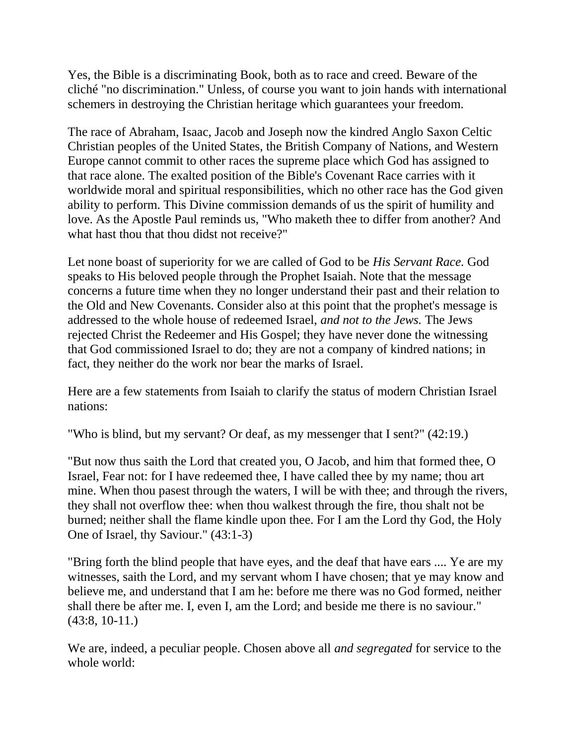Yes, the Bible is a discriminating Book, both as to race and creed. Beware of the cliché "no discrimination." Unless, of course you want to join hands with international schemers in destroying the Christian heritage which guarantees your freedom.

The race of Abraham, Isaac, Jacob and Joseph now the kindred Anglo Saxon Celtic Christian peoples of the United States, the British Company of Nations, and Western Europe cannot commit to other races the supreme place which God has assigned to that race alone. The exalted position of the Bible's Covenant Race carries with it worldwide moral and spiritual responsibilities, which no other race has the God given ability to perform. This Divine commission demands of us the spirit of humility and love. As the Apostle Paul reminds us, "Who maketh thee to differ from another? And what hast thou that thou didst not receive?"

Let none boast of superiority for we are called of God to be *His Servant Race.* God speaks to His beloved people through the Prophet Isaiah. Note that the message concerns a future time when they no longer understand their past and their relation to the Old and New Covenants. Consider also at this point that the prophet's message is addressed to the whole house of redeemed Israel, *and not to the Jews.* The Jews rejected Christ the Redeemer and His Gospel; they have never done the witnessing that God commissioned Israel to do; they are not a company of kindred nations; in fact, they neither do the work nor bear the marks of Israel.

Here are a few statements from Isaiah to clarify the status of modern Christian Israel nations:

"Who is blind, but my servant? Or deaf, as my messenger that I sent?" (42:19.)

"But now thus saith the Lord that created you, O Jacob, and him that formed thee, O Israel, Fear not: for I have redeemed thee, I have called thee by my name; thou art mine. When thou pasest through the waters, I will be with thee; and through the rivers, they shall not overflow thee: when thou walkest through the fire, thou shalt not be burned; neither shall the flame kindle upon thee. For I am the Lord thy God, the Holy One of Israel, thy Saviour." (43:1-3)

"Bring forth the blind people that have eyes, and the deaf that have ears .... Ye are my witnesses, saith the Lord, and my servant whom I have chosen; that ye may know and believe me, and understand that I am he: before me there was no God formed, neither shall there be after me. I, even I, am the Lord; and beside me there is no saviour." (43:8, 10-11.)

We are, indeed, a peculiar people. Chosen above all *and segregated* for service to the whole world: